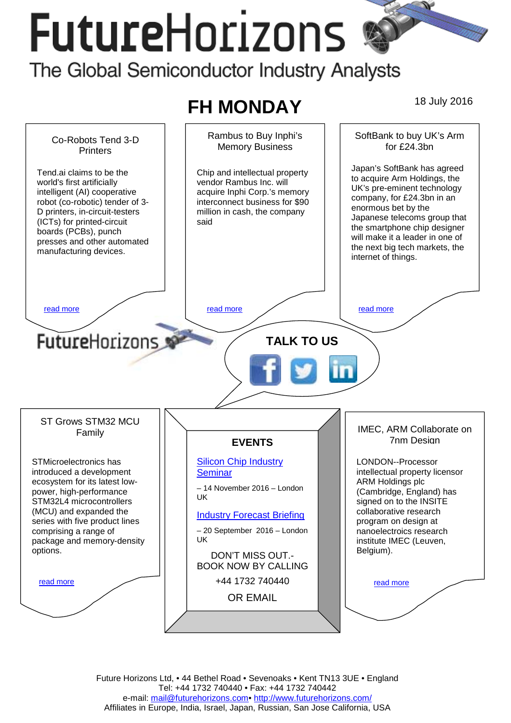# **FutureHorizons** The Global Semiconductor Industry Analysts

# **FH MONDAY** 18 July 2016



Future Horizons Ltd, • 44 Bethel Road • Sevenoaks • Kent TN13 3UE • England Tel: +44 1732 740440 • Fax: +44 1732 740442 e-mail: mail@futurehorizons.com• http://www.futurehorizons.com/ Affiliates in Europe, India, Israel, Japan, Russian, San Jose California, USA